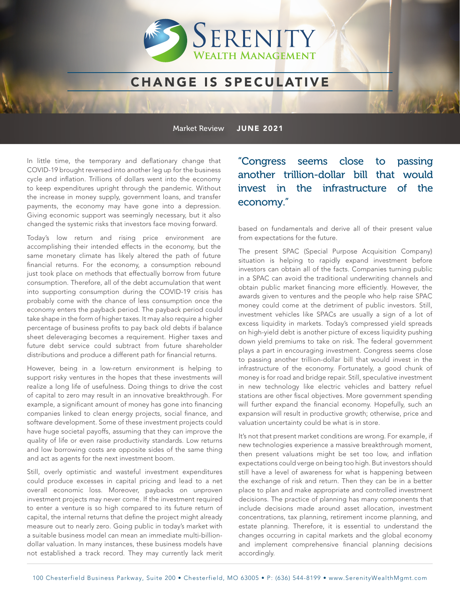

#### CHANGE IS SPECULATIVE

Market Review JUNE 2021

In little time, the temporary and deflationary change that COVID-19 brought reversed into another leg up for the business cycle and inflation. Trillions of dollars went into the economy to keep expenditures upright through the pandemic. Without the increase in money supply, government loans, and transfer payments, the economy may have gone into a depression. Giving economic support was seemingly necessary, but it also changed the systemic risks that investors face moving forward.

Today's low return and rising price environment are accomplishing their intended effects in the economy, but the same monetary climate has likely altered the path of future financial returns. For the economy, a consumption rebound just took place on methods that effectually borrow from future consumption. Therefore, all of the debt accumulation that went into supporting consumption during the COVID-19 crisis has probably come with the chance of less consumption once the economy enters the payback period. The payback period could take shape in the form of higher taxes. It may also require a higher percentage of business profits to pay back old debts if balance sheet deleveraging becomes a requirement. Higher taxes and future debt service could subtract from future shareholder distributions and produce a different path for financial returns.

However, being in a low-return environment is helping to support risky ventures in the hopes that these investments will realize a long life of usefulness. Doing things to drive the cost of capital to zero may result in an innovative breakthrough. For example, a significant amount of money has gone into financing companies linked to clean energy projects, social finance, and software development. Some of these investment projects could have huge societal payoffs, assuming that they can improve the quality of life or even raise productivity standards. Low returns and low borrowing costs are opposite sides of the same thing and act as agents for the next investment boom.

Still, overly optimistic and wasteful investment expenditures could produce excesses in capital pricing and lead to a net overall economic loss. Moreover, paybacks on unproven investment projects may never come. If the investment required to enter a venture is so high compared to its future return of capital, the internal returns that define the project might already measure out to nearly zero. Going public in today's market with a suitable business model can mean an immediate multi-billiondollar valuation. In many instances, these business models have not established a track record. They may currently lack merit

"Congress seems close to passing another trillion-dollar bill that would invest in the infrastructure of the economy."

based on fundamentals and derive all of their present value from expectations for the future.

The present SPAC (Special Purpose Acquisition Company) situation is helping to rapidly expand investment before investors can obtain all of the facts. Companies turning public in a SPAC can avoid the traditional underwriting channels and obtain public market financing more efficiently. However, the awards given to ventures and the people who help raise SPAC money could come at the detriment of public investors. Still, investment vehicles like SPACs are usually a sign of a lot of excess liquidity in markets. Today's compressed yield spreads on high-yield debt is another picture of excess liquidity pushing down yield premiums to take on risk. The federal government plays a part in encouraging investment. Congress seems close to passing another trillion-dollar bill that would invest in the infrastructure of the economy. Fortunately, a good chunk of money is for road and bridge repair. Still, speculative investment in new technology like electric vehicles and battery refuel stations are other fiscal objectives. More government spending will further expand the financial economy. Hopefully, such an expansion will result in productive growth; otherwise, price and valuation uncertainty could be what is in store.

It's not that present market conditions are wrong. For example, if new technologies experience a massive breakthrough moment, then present valuations might be set too low, and inflation expectations could verge on being too high. But investors should still have a level of awareness for what is happening between the exchange of risk and return. Then they can be in a better place to plan and make appropriate and controlled investment decisions. The practice of planning has many components that include decisions made around asset allocation, investment concentrations, tax planning, retirement income planning, and estate planning. Therefore, it is essential to understand the changes occurring in capital markets and the global economy and implement comprehensive financial planning decisions accordingly.